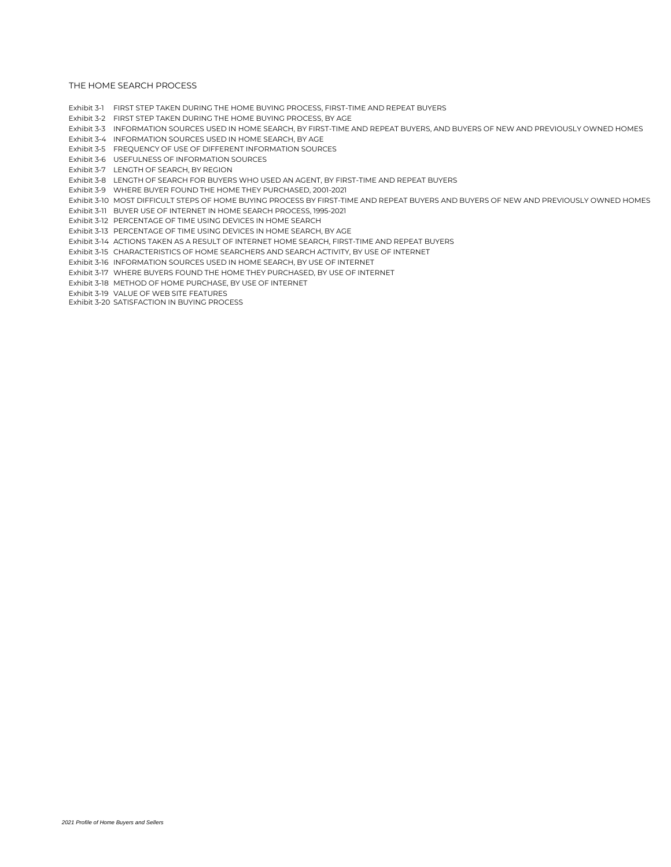Exhibit 3-1 FIRST STEP TAKEN DURING THE HOME BUYING PROCESS, FIRST-TIME AND REPEAT BUYERS

Exhibit 3-2 FIRST STEP TAKEN DURING THE HOME BUYING PROCESS, BY AGE

Exhibit 3-3 INFORMATION SOURCES USED IN HOME SEARCH, BY FIRST-TIME AND REPEAT BUYERS, AND BUYERS OF NEW AND PREVIOUSLY OWNED HOMES

Exhibit 3-4 INFORMATION SOURCES USED IN HOME SEARCH, BY AGE

Exhibit 3-5 FREQUENCY OF USE OF DIFFERENT INFORMATION SOURCES

Exhibit 3-6 USEFULNESS OF INFORMATION SOURCES

Exhibit 3-7 LENGTH OF SEARCH, BY REGION

Exhibit 3-8 LENGTH OF SEARCH FOR BUYERS WHO USED AN AGENT, BY FIRST-TIME AND REPEAT BUYERS

Exhibit 3-9 WHERE BUYER FOUND THE HOME THEY PURCHASED, 2001-2021

Exhibit 3-10 MOST DIFFICULT STEPS OF HOME BUYING PROCESS BY FIRST-TIME AND REPEAT BUYERS AND BUYERS OF NEW AND PREVIOUSLY OWNED HOMES

Exhibit 3-11 BUYER USE OF INTERNET IN HOME SEARCH PROCESS, 1995-2021

Exhibit 3-12 PERCENTAGE OF TIME USING DEVICES IN HOME SEARCH

Exhibit 3-13 PERCENTAGE OF TIME USING DEVICES IN HOME SEARCH, BY AGE

Exhibit 3-14 ACTIONS TAKEN AS A RESULT OF INTERNET HOME SEARCH, FIRST-TIME AND REPEAT BUYERS

Exhibit 3-15 CHARACTERISTICS OF HOME SEARCHERS AND SEARCH ACTIVITY, BY USE OF INTERNET

Exhibit 3-16 INFORMATION SOURCES USED IN HOME SEARCH, BY USE OF INTERNET

Exhibit 3-17 WHERE BUYERS FOUND THE HOME THEY PURCHASED, BY USE OF INTERNET

Exhibit 3-18 METHOD OF HOME PURCHASE, BY USE OF INTERNET

Exhibit 3-19 VALUE OF WEB SITE FEATURES

Exhibit 3-20 SATISFACTION IN BUYING PROCESS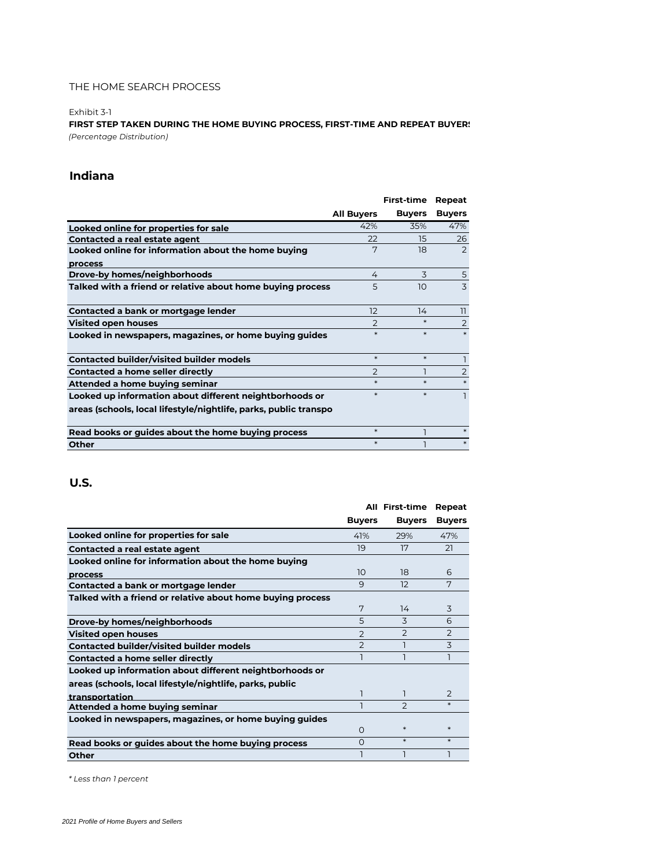#### Exhibit 3-1

**FIRST STEP TAKEN DURING THE HOME BUYING PROCESS, FIRST-TIME AND REPEAT BUYERS** *(Percentage Distribution)*

### **Indiana**

|                                                                  |                   | <b>First-time</b> | Repeat         |
|------------------------------------------------------------------|-------------------|-------------------|----------------|
|                                                                  | <b>All Buyers</b> | <b>Buyers</b>     | <b>Buyers</b>  |
| Looked online for properties for sale                            | 42%               | 35%               | 47%            |
| Contacted a real estate agent                                    | 22                | 15                | 26             |
| Looked online for information about the home buying              | 7                 | 18                | 2              |
| process                                                          |                   |                   |                |
| Drove-by homes/neighborhoods                                     | 4                 | 3                 | 5              |
| Talked with a friend or relative about home buying process       | 5                 | 10                | 3              |
|                                                                  |                   |                   |                |
| Contacted a bank or mortgage lender                              | 12                | 14                | 11             |
| <b>Visited open houses</b>                                       | $\mathcal{P}$     | $\ast$            | $\overline{2}$ |
| Looked in newspapers, magazines, or home buying guides           | $\ast$            | $\ast$            | $\ast$         |
|                                                                  |                   |                   |                |
| <b>Contacted builder/visited builder models</b>                  | $\ast$            | $\ast$            |                |
| <b>Contacted a home seller directly</b>                          | $\overline{2}$    |                   | $\overline{2}$ |
| Attended a home buying seminar                                   | $\ast$            | $\ast$            | $\ast$         |
| Looked up information about different neightborhoods or          | $\ast$            | $\ast$            |                |
| areas (schools, local lifestyle/nightlife, parks, public transpo |                   |                   |                |
|                                                                  |                   |                   |                |
| Read books or guides about the home buying process               | $\ast$            |                   | $\ast$         |
| Other                                                            | $\ast$            |                   | $\ast$         |

### **U.S.**

|                                                            |                | <b>All First-time</b> | Repeat        |
|------------------------------------------------------------|----------------|-----------------------|---------------|
|                                                            | <b>Buyers</b>  | <b>Buyers</b>         | <b>Buyers</b> |
| Looked online for properties for sale                      | 41%            | 29%                   | 47%           |
| Contacted a real estate agent                              | 19             | 17                    | 21            |
| Looked online for information about the home buying        |                |                       |               |
| process                                                    | 10             | 18                    | 6             |
| Contacted a bank or mortgage lender                        | 9              | 12                    | 7             |
| Talked with a friend or relative about home buying process |                |                       |               |
|                                                            | 7              | 14                    | 3             |
| Drove-by homes/neighborhoods                               | 5              | 3                     | 6             |
| <b>Visited open houses</b>                                 | $\overline{2}$ | $\mathcal{P}$         | $\mathcal{P}$ |
| <b>Contacted builder/visited builder models</b>            | $\overline{2}$ |                       | 3             |
| Contacted a home seller directly                           |                |                       |               |
| Looked up information about different neightborhoods or    |                |                       |               |
| areas (schools, local lifestyle/nightlife, parks, public   |                |                       |               |
| transportation                                             |                |                       | $\mathcal{P}$ |
| Attended a home buying seminar                             |                | $\mathcal{P}$         | $\ast$        |
| Looked in newspapers, magazines, or home buying guides     |                |                       |               |
|                                                            | O              | $\ast$                | $\ast$        |
| Read books or guides about the home buying process         | $\Omega$       | $\ast$                | $\ast$        |
| Other                                                      |                |                       |               |

*\* Less than 1 percent*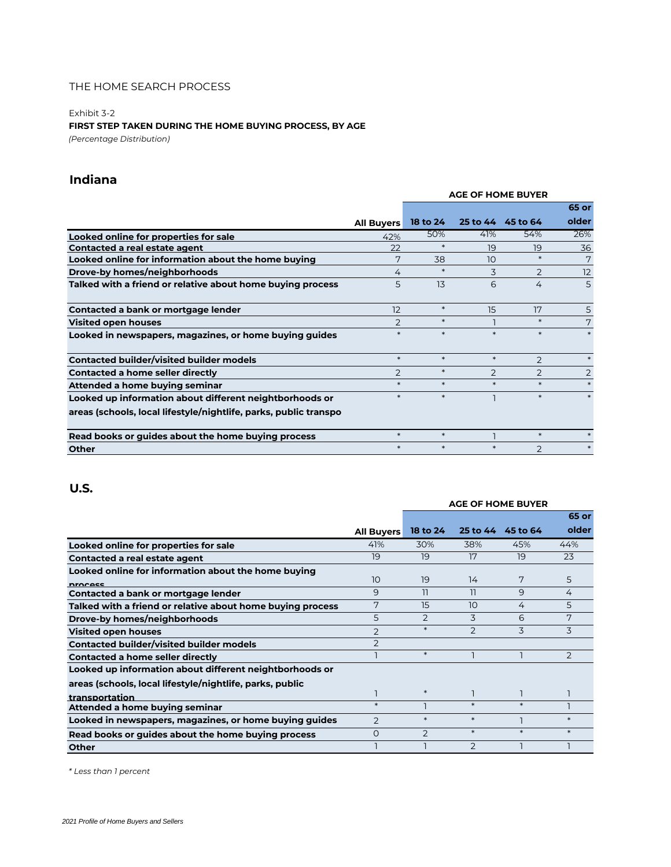Exhibit 3-2

**FIRST STEP TAKEN DURING THE HOME BUYING PROCESS, BY AGE**

*(Percentage Distribution)*

# **Indiana**

|                                                                  |                   | <b>AGE OF HOME BUYER</b> |               |                   |                |
|------------------------------------------------------------------|-------------------|--------------------------|---------------|-------------------|----------------|
|                                                                  |                   |                          |               |                   | 65 or          |
|                                                                  | <b>All Buyers</b> | 18 to 24                 |               | 25 to 44 45 to 64 | older          |
| Looked online for properties for sale                            | 42%               | 50%                      | 41%           | 54%               | 26%            |
| Contacted a real estate agent                                    | 22                | $\ast$                   | 19            | 19                | 36             |
| Looked online for information about the home buying              | 7                 | 38                       | 10            | $\ast$            | 7              |
| Drove-by homes/neighborhoods                                     | 4                 | $\ast$                   | 3             | 2                 | 12             |
| Talked with a friend or relative about home buying process       | 5                 | 13                       | 6             | 4                 | 5              |
| Contacted a bank or mortgage lender                              | 12                | $\ast$                   | 15            | 17                | 5              |
| <b>Visited open houses</b>                                       | 2                 | $*$                      |               | $\ast$            | 7              |
| Looked in newspapers, magazines, or home buying guides           | $\ast$            | $\ast$                   | $\ast$        | $*$               | $\ast$         |
| <b>Contacted builder/visited builder models</b>                  | $*$               | $*$                      | $\ast$        | $\overline{2}$    | $\ast$         |
| Contacted a home seller directly                                 | $\overline{2}$    | $*$                      | $\mathcal{P}$ | $\mathcal{P}$     | $\overline{2}$ |
| Attended a home buying seminar                                   | $\ast$            | $*$                      | $\ast$        | $\ast$            | $\ast$         |
| Looked up information about different neightborhoods or          | $*$               | $\ast$                   |               | $\ast$            | $*$            |
| areas (schools, local lifestyle/nightlife, parks, public transpo |                   |                          |               |                   |                |
| Read books or guides about the home buying process               | $\ast$            | $*$                      |               | $*$               | $\ast$         |
| <b>Other</b>                                                     | $\ast$            | $\ast$                   | $\ast$        | $\overline{2}$    |                |

## **U.S.**

|                                                            |                   | <b>AGE OF HOME BUYER</b> |               |          |         |  |
|------------------------------------------------------------|-------------------|--------------------------|---------------|----------|---------|--|
|                                                            |                   |                          |               |          | 65 or   |  |
|                                                            | <b>All Buyers</b> | 18 to 24                 | 25 to 44      | 45 to 64 | older   |  |
| Looked online for properties for sale                      | 41%               | 30%                      | 38%           | 45%      | 44%     |  |
| Contacted a real estate agent                              | 19                | 19                       | 17            | 19       | 23      |  |
| Looked online for information about the home buying        |                   |                          |               |          |         |  |
| <b>Drocess</b>                                             | 10                | 19                       | 14            | 7        | 5       |  |
| Contacted a bank or mortgage lender                        | 9                 | 11                       | 11            | 9        | 4       |  |
| Talked with a friend or relative about home buying process | 7                 | 15                       | 10            | 4        | 5       |  |
| Drove-by homes/neighborhoods                               | 5                 | 2                        | 3             | 6        | 7       |  |
| <b>Visited open houses</b>                                 | $\overline{2}$    | $\ast$                   | $\mathcal{P}$ | 3        | 3       |  |
| <b>Contacted builder/visited builder models</b>            | $\overline{2}$    |                          |               |          |         |  |
| Contacted a home seller directly                           |                   | $\ast$                   |               |          | 2       |  |
| Looked up information about different neightborhoods or    |                   |                          |               |          |         |  |
| areas (schools, local lifestyle/nightlife, parks, public   |                   |                          |               |          |         |  |
| transportation                                             |                   | $\ast$                   |               |          |         |  |
| Attended a home buying seminar                             | $*$               |                          | $\ast$        | $\ast$   |         |  |
| Looked in newspapers, magazines, or home buying guides     | 2                 | $\ast$                   | $\ast$        |          | $\star$ |  |
| Read books or guides about the home buying process         | $\Omega$          | $\mathcal{P}$            | $\ast$        | $\ast$   | $\ast$  |  |
| <b>Other</b>                                               |                   |                          | $\mathcal{P}$ |          |         |  |

*\* Less than 1 percent*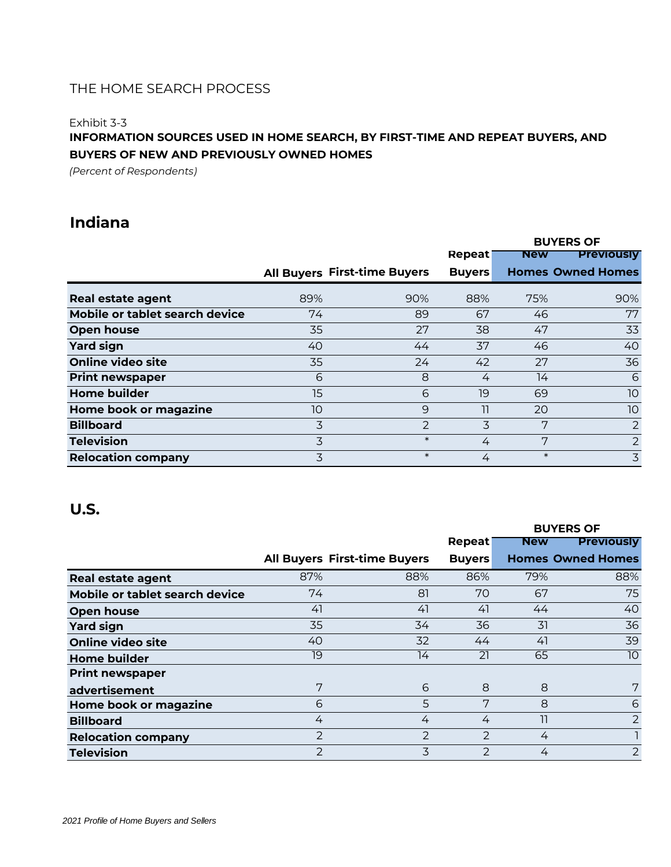### Exhibit 3-3

# **INFORMATION SOURCES USED IN HOME SEARCH, BY FIRST-TIME AND REPEAT BUYERS, AND BUYERS OF NEW AND PREVIOUSLY OWNED HOMES**

*(Percent of Respondents)*

# **Indiana**

|                                |     |                                     | <b>BUYERS OF</b> |            |                          |
|--------------------------------|-----|-------------------------------------|------------------|------------|--------------------------|
|                                |     |                                     | Repeat           | <b>New</b> | <b>Previously</b>        |
|                                |     | <b>All Buyers First-time Buyers</b> | <b>Buyers</b>    |            | <b>Homes Owned Homes</b> |
| <b>Real estate agent</b>       | 89% | 90%                                 | 88%              | 75%        | 90%                      |
| Mobile or tablet search device | 74  | 89                                  | 67               | 46         | 77                       |
| Open house                     | 35  | 27                                  | 38               | 47         | 33                       |
| <b>Yard sign</b>               | 40  | 44                                  | 37               | 46         | 40                       |
| Online video site              | 35  | 24                                  | 42               | 27         | 36                       |
| <b>Print newspaper</b>         | 6   | 8                                   | 4                | 14         | 6                        |
| <b>Home builder</b>            | 15  | 6                                   | 19               | 69         | 10                       |
| Home book or magazine          | 10  | 9                                   | 11               | 20         | 10 <sup>°</sup>          |
| <b>Billboard</b>               | 3   | 2                                   | 3                | 7          | $\overline{2}$           |
| <b>Television</b>              | 3   | $\ast$                              | 4                | 7          | 2                        |
| <b>Relocation company</b>      | 3   | $\ast$                              | 4                | $\ast$     | 3                        |

|                                |                |                              |               |            | <b>BUYERS OF</b>         |  |
|--------------------------------|----------------|------------------------------|---------------|------------|--------------------------|--|
|                                |                |                              | Repeat        | <b>New</b> | <b>Previously</b>        |  |
|                                |                | All Buyers First-time Buyers | <b>Buyers</b> |            | <b>Homes Owned Homes</b> |  |
| <b>Real estate agent</b>       | 87%            | 88%                          | 86%           | 79%        | 88%                      |  |
| Mobile or tablet search device | 74             | 81                           | 70            | 67         | 75                       |  |
| Open house                     | 41             | 41                           | 41            | 44         | 40                       |  |
| <b>Yard sign</b>               | 35             | 34                           | 36            | 31         | 36                       |  |
| <b>Online video site</b>       | 40             | 32                           | 44            | 41         | 39                       |  |
| <b>Home builder</b>            | 19             | 14                           | 21            | 65         | 10                       |  |
| <b>Print newspaper</b>         |                |                              |               |            |                          |  |
| advertisement                  | 7              | 6                            | 8             | 8          | 7                        |  |
| Home book or magazine          | 6              | 5                            | 7             | 8          | 6                        |  |
| <b>Billboard</b>               | 4              | 4                            | 4             | 11         | $\overline{2}$           |  |
| <b>Relocation company</b>      | $\overline{2}$ | $\overline{2}$               | $\mathcal{P}$ | 4          |                          |  |
| <b>Television</b>              | 2              | 3                            | 2             | 4          | $\overline{2}$           |  |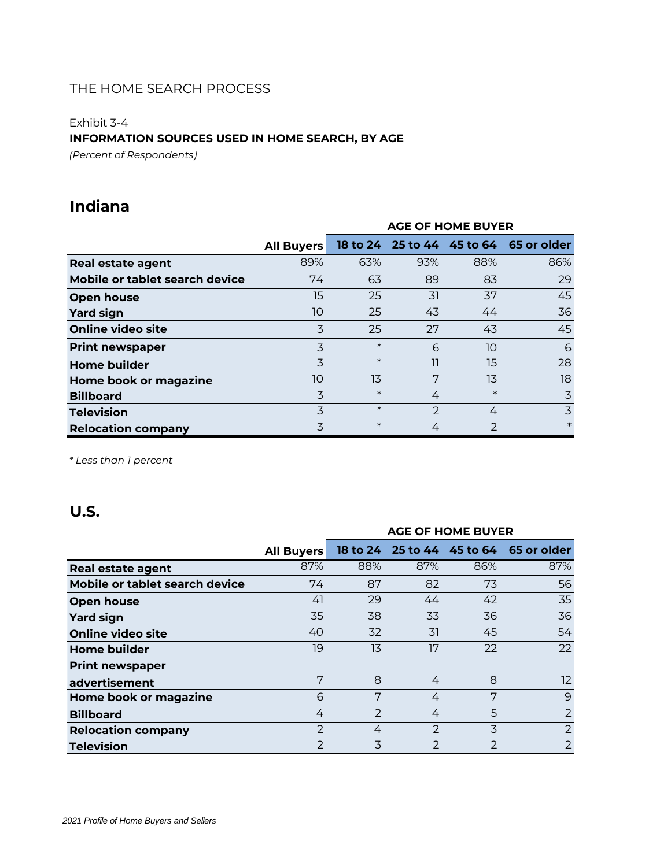### Exhibit 3-4

### **INFORMATION SOURCES USED IN HOME SEARCH, BY AGE**

*(Percent of Respondents)*

# **Indiana**

|                                |                   | <b>AGE OF HOME BUYER</b> |               |               |                                        |
|--------------------------------|-------------------|--------------------------|---------------|---------------|----------------------------------------|
|                                | <b>All Buyers</b> |                          |               |               | 18 to 24 25 to 44 45 to 64 65 or older |
| <b>Real estate agent</b>       | 89%               | 63%                      | 93%           | 88%           | 86%                                    |
| Mobile or tablet search device | 74                | 63                       | 89            | 83            | 29                                     |
| Open house                     | 15                | 25                       | 31            | 37            | 45                                     |
| <b>Yard sign</b>               | 10                | 25                       | 43            | 44            | 36                                     |
| Online video site              | 3                 | 25                       | 27            | 43            | 45                                     |
| <b>Print newspaper</b>         | 3                 | $\ast$                   | 6             | 10            | 6                                      |
| <b>Home builder</b>            | 3                 | $\ast$                   | 11            | 15            | 28                                     |
| Home book or magazine          | 10                | 13                       | 7             | 13            | 18                                     |
| <b>Billboard</b>               | 3                 | $\ast$                   | 4             | $\ast$        | 3                                      |
| <b>Television</b>              | 3                 | $\ast$                   | $\mathcal{P}$ | 4             | 3                                      |
| <b>Relocation company</b>      | 3                 | $\ast$                   | 4             | $\mathcal{P}$ | $\ast$                                 |

*\* Less than 1 percent*

|                                |                   | <b>AGE OF HOME BUYER</b> |               |               |                                        |
|--------------------------------|-------------------|--------------------------|---------------|---------------|----------------------------------------|
|                                | <b>All Buyers</b> |                          |               |               | 18 to 24 25 to 44 45 to 64 65 or older |
| <b>Real estate agent</b>       | 87%               | 88%                      | 87%           | 86%           | 87%                                    |
| Mobile or tablet search device | 74                | 87                       | 82            | 73            | 56                                     |
| Open house                     | 41                | 29                       | 44            | 42            | 35                                     |
| <b>Yard sign</b>               | 35                | 38                       | 33            | 36            | 36                                     |
| <b>Online video site</b>       | 40                | 32                       | 31            | 45            | 54                                     |
| <b>Home builder</b>            | 19                | 13                       | 17            | 22            | 22                                     |
| <b>Print newspaper</b>         |                   |                          |               |               |                                        |
| advertisement                  | 7                 | 8                        | 4             | 8             | 12                                     |
| Home book or magazine          | 6                 | 7                        | 4             | 7             | 9                                      |
| <b>Billboard</b>               | 4                 | $\mathcal{P}$            | 4             | 5             | $\overline{2}$                         |
| <b>Relocation company</b>      | $\mathcal{P}$     | 4                        | $\mathcal{P}$ | 3             | $\overline{2}$                         |
| <b>Television</b>              | $\mathcal{P}$     | 3                        | $\mathcal{P}$ | $\mathcal{P}$ | $\overline{2}$                         |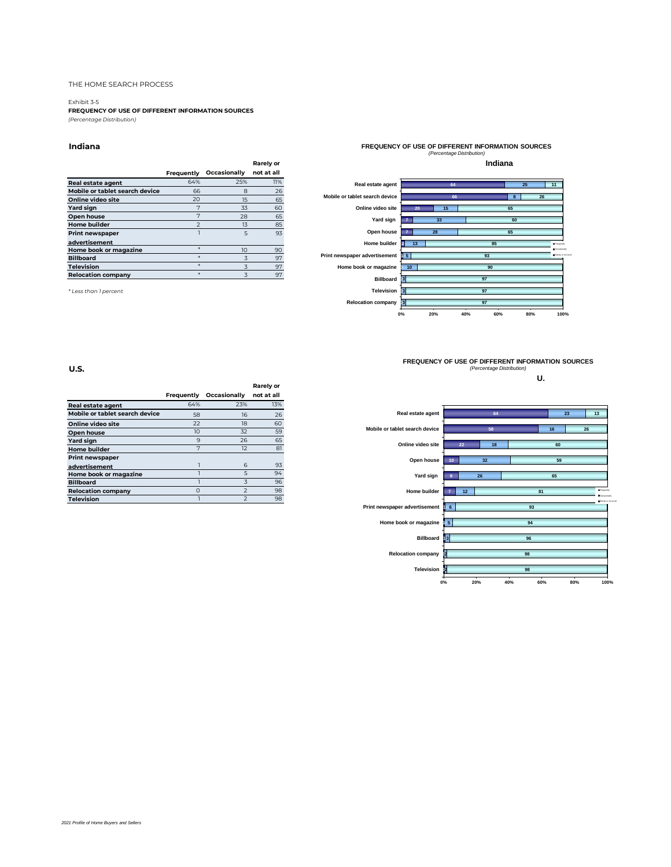#### Exhibit 3-5

**FREQUENCY OF USE OF DIFFERENT INFORMATION SOURCES** *(Percentage Distribution)*

#### **Indiana**

|                                |                          |              | <b>Rarely or</b> |
|--------------------------------|--------------------------|--------------|------------------|
|                                | Frequently               | Occasionally | not at all       |
| <b>Real estate agent</b>       | 64%                      | 25%          | 11%              |
| Mobile or tablet search device | 66                       | 8            | 26               |
| Online video site              | 20                       | 15           | 65               |
| Yard sign                      | 7                        | 33           | 60               |
| Open house                     | 7                        | 28           | 65               |
| <b>Home builder</b>            | $\overline{\phantom{0}}$ | 13           | 85               |
| <b>Print newspaper</b>         |                          | 5            | 93               |
| advertisement                  |                          |              |                  |
| Home book or magazine          |                          | 10           | 90               |
| <b>Billboard</b>               |                          | 3            | 97               |
| <b>Television</b>              |                          | 3            | 97               |
| <b>Relocation company</b>      |                          | 3            | 97               |

*\* Less than 1 percent*



**FREQUENCY OF USE OF DIFFERENT INFORMATION SOURCES** *(Percentage Distribution)* **U.**

**0% 20% 40% 60% 80% 100%**



|                                |            |                          | Rarely or  |
|--------------------------------|------------|--------------------------|------------|
|                                | Frequently | Occasionally             | not at all |
| <b>Real estate agent</b>       | 64%        | 23%                      | 13%        |
| Mobile or tablet search device | 58         | 16                       | 26         |
| Online video site              | 22         | 18                       | 60         |
| Open house                     | 10         | 32                       | 59         |
| Yard sign                      | 9          | 26                       | 65         |
| <b>Home builder</b>            | 7          | 12                       | 81         |
| <b>Print newspaper</b>         |            |                          |            |
| advertisement                  | ٦          | 6                        | 93         |
| Home book or magazine          | 1          | 5                        | 94         |
| <b>Billboard</b>               |            | 3                        | 96         |
| <b>Relocation company</b>      | $\Omega$   | $\overline{2}$           | 98         |
| <b>Television</b>              |            | $\overline{\phantom{0}}$ | 98         |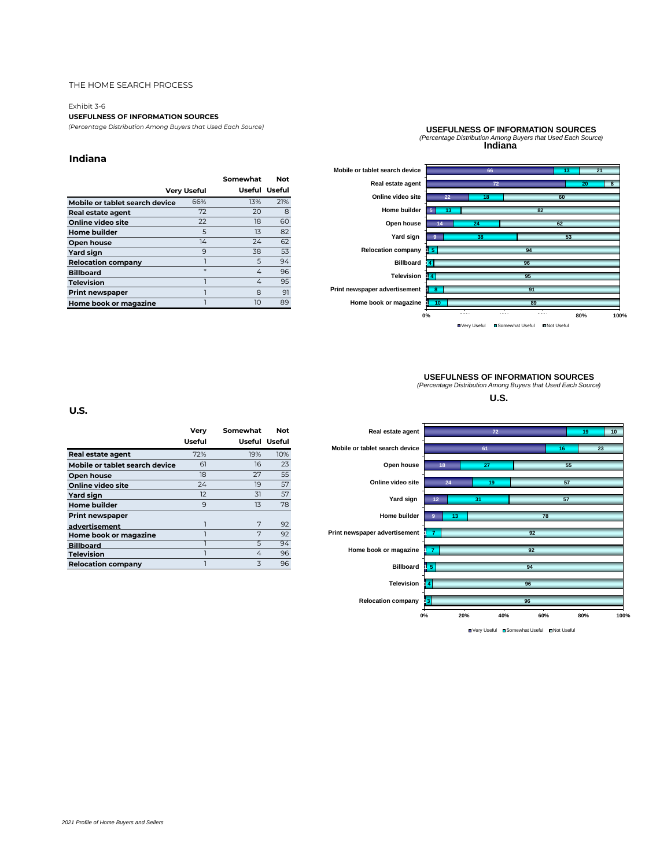#### Exhibit 3-6

#### **USEFULNESS OF INFORMATION SOURCES**

*(Percentage Distribution Among Buyers that Used Each Source)*

#### **Indiana**

|                                |             | Somewhat | Not           |
|--------------------------------|-------------|----------|---------------|
|                                | Very Useful |          | Useful Useful |
| Mobile or tablet search device | 66%         | 13%      | 21%           |
| Real estate agent              | 72          | 20       | 8             |
| Online video site              | 22          | 18       | 60            |
| <b>Home builder</b>            | 5           | 13       | 82            |
| Open house                     | 14          | 24       | 62            |
| Yard sign                      | 9           | 38       | 53            |
| <b>Relocation company</b>      |             | 5        | 94            |
| <b>Billboard</b>               | $\ast$      | 4        | 96            |
| <b>Television</b>              |             | 4        | 95            |
| <b>Print newspaper</b>         |             | 8        | 91            |
| Home book or magazine          |             | 10       | 89            |
|                                |             |          |               |

### **USEFULNESS OF INFORMATION SOURCES** *(Percentage Distribution Among Buyers that Used Each Source)* **Indiana**



# **USEFULNESS OF INFORMATION SOURCES** *(Percentage Distribution Among Buyers that Used Each Source)*

**U.S.**



■Very Useful ■Somewhat Useful ■Not Useful

|                                | Verv   | Somewhat | <b>Not</b>    |
|--------------------------------|--------|----------|---------------|
|                                | Useful |          | Useful Useful |
| Real estate agent              | 72%    | 19%      | 10%           |
| Mobile or tablet search device | 61     | 16       | 23            |
| Open house                     | 18     | 27       | 55            |
| Online video site              | 24     | 19       | 57            |
| Yard sign                      | 12     | 31       | 57            |
| <b>Home builder</b>            | 9      | 13       | 78            |
| <b>Print newspaper</b>         |        |          |               |
| advertisement                  | 1      | 7        | 92            |
| Home book or magazine          | ٦      | 7        | 92            |
| <b>Billboard</b>               |        | 5        | 94            |
| <b>Television</b>              |        | 4        | 96            |
| <b>Relocation company</b>      |        | 3        | 96            |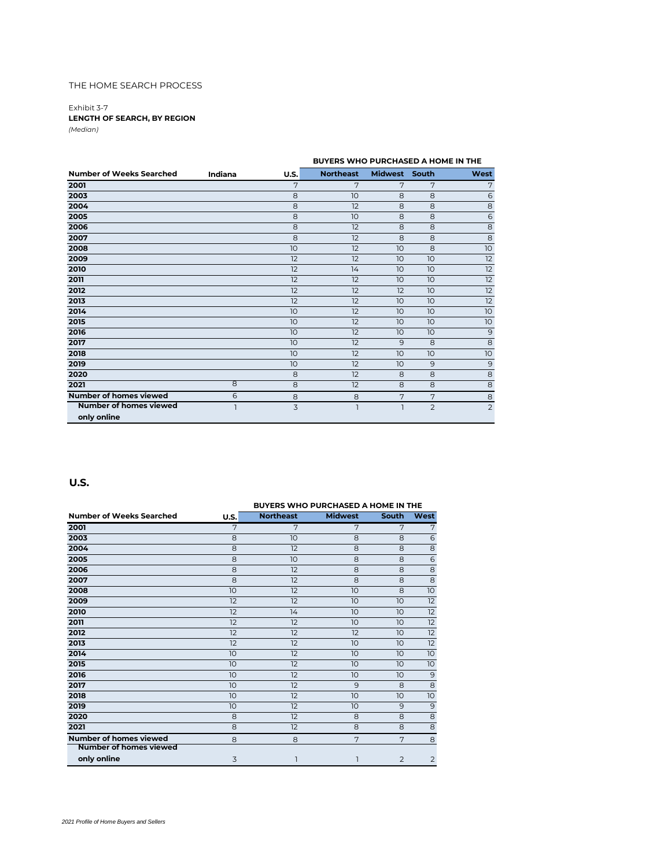Exhibit 3-7 **LENGTH OF SEARCH, BY REGION** *(Median)*

|                               |              |             | BUYERS WHO PURCHASED A HOME IN THE |               |    |                 |
|-------------------------------|--------------|-------------|------------------------------------|---------------|----|-----------------|
| Number of Weeks Searched      | Indiana      | <b>U.S.</b> | <b>Northeast</b>                   | Midwest South |    | West            |
| 2001                          |              | 7           | 7                                  | 7             | 7  | 7               |
| 2003                          |              | 8           | 10                                 | 8             | 8  | 6               |
| 2004                          |              | 8           | 12                                 | 8             | 8  | 8               |
| 2005                          |              | 8           | 10                                 | 8             | 8  | 6               |
| 2006                          |              | 8           | 12                                 | 8             | 8  | $\overline{8}$  |
| 2007                          |              | 8           | 12                                 | 8             | 8  | 8               |
| 2008                          |              | 10          | 12                                 | 10            | 8  | 10 <sup>°</sup> |
| 2009                          |              | 12          | 12                                 | 10            | 10 | 12              |
| 2010                          |              | 12          | 14                                 | 10            | 10 | 12              |
| 2011                          |              | 12          | 12                                 | 10            | 10 | 12              |
| 2012                          |              | 12          | 12                                 | 12            | 10 | 12              |
| 2013                          |              | 12          | 12                                 | 10            | 10 | 12              |
| 2014                          |              | 10          | 12                                 | 10            | 10 | 10 <sup>°</sup> |
| 2015                          |              | 10          | 12                                 | 10            | 10 | 10 <sup>°</sup> |
| 2016                          |              | 10          | 12                                 | 10            | 10 | $\mathbf{9}$    |
| 2017                          |              | 10          | 12                                 | 9             | 8  | 8               |
| 2018                          |              | 10          | 12                                 | 10            | 10 | 10 <sup>°</sup> |
| 2019                          |              | 10          | 12                                 | 10            | 9  | $\overline{9}$  |
| 2020                          |              | 8           | 12                                 | 8             | 8  | 8               |
| 2021                          | $\mathbf{8}$ | 8           | 12                                 | 8             | 8  | $\mathbf{8}$    |
| Number of homes viewed        | 6            | 8           | 8                                  | 7             | 7  | 8               |
| <b>Number of homes viewed</b> |              | 3           | ı                                  | ı             | 2  | $\overline{2}$  |
| only online                   |              |             |                                    |               |    |                 |

|                                 | <b>BUYERS WHO PURCHASED A HOME IN THE</b> |                  |                |                |                |  |  |
|---------------------------------|-------------------------------------------|------------------|----------------|----------------|----------------|--|--|
| <b>Number of Weeks Searched</b> | U.S.                                      | <b>Northeast</b> | <b>Midwest</b> | South          | West           |  |  |
| 2001                            | 7                                         | 7                | 7              | 7              | 7              |  |  |
| 2003                            | 8                                         | 10               | 8              | 8              | 6              |  |  |
| 2004                            | 8                                         | 12               | 8              | 8              | 8              |  |  |
| 2005                            | 8                                         | 10               | 8              | 8              | 6              |  |  |
| 2006                            | 8                                         | 12               | 8              | 8              | 8              |  |  |
| 2007                            | 8                                         | 12               | 8              | 8              | $\mathbf 8$    |  |  |
| 2008                            | 10                                        | 12               | 10             | 8              | 10             |  |  |
| 2009                            | 12                                        | 12               | 10             | 10             | 12             |  |  |
| 2010                            | 12                                        | 14               | 10             | 10             | 12             |  |  |
| 2011                            | 12                                        | 12               | 10             | 10             | 12             |  |  |
| 2012                            | 12                                        | 12               | 12             | 10             | 12             |  |  |
| 2013                            | 12                                        | 12               | 10             | 10             | 12             |  |  |
| 2014                            | 10                                        | 12               | 10             | 10             | 10             |  |  |
| 2015                            | 10                                        | 12               | 10             | 10             | 10             |  |  |
| 2016                            | 10                                        | 12               | 10             | 10             | 9              |  |  |
| 2017                            | 10                                        | 12               | 9              | 8              | 8              |  |  |
| 2018                            | 10                                        | 12               | 10             | 10             | 10             |  |  |
| 2019                            | 10                                        | 12               | 10             | 9              | 9              |  |  |
| 2020                            | 8                                         | 12               | 8              | 8              | 8              |  |  |
| 2021                            | 8                                         | 12               | 8              | 8              | 8              |  |  |
| <b>Number of homes viewed</b>   | 8                                         | 8                | 7              | 7              | 8              |  |  |
| Number of homes viewed          |                                           |                  |                |                |                |  |  |
| only online                     | 3                                         | 1                | 1              | $\overline{2}$ | $\overline{2}$ |  |  |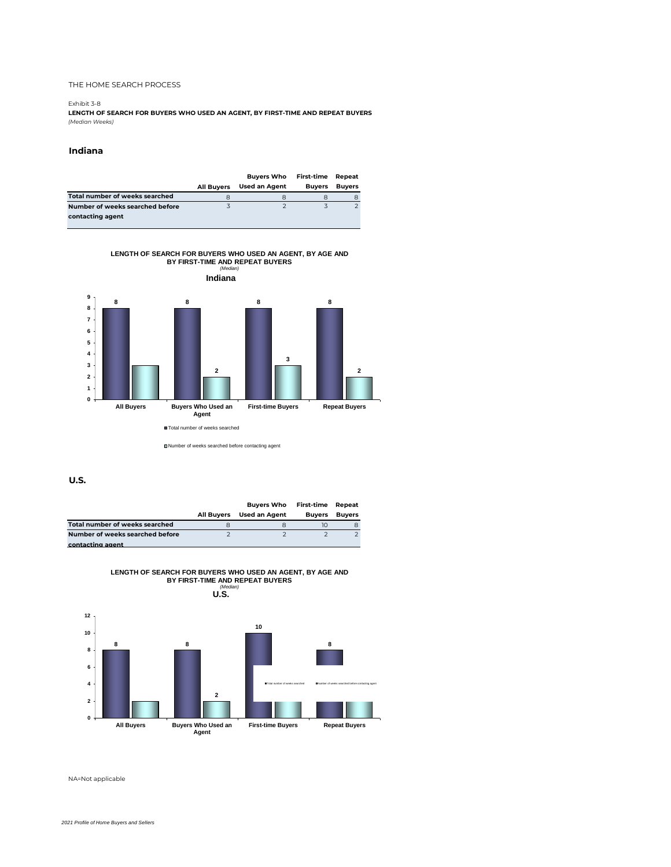#### Exhibit 3-8

**LENGTH OF SEARCH FOR BUYERS WHO USED AN AGENT, BY FIRST-TIME AND REPEAT BUYERS** *(Median Weeks)*

#### **Indiana**

|                                 |                   | <b>Buyers Who</b>    | First-time    | Repeat        |
|---------------------------------|-------------------|----------------------|---------------|---------------|
|                                 | <b>All Buvers</b> | <b>Used an Agent</b> | <b>Buvers</b> | <b>Buyers</b> |
| Total number of weeks searched  |                   |                      |               |               |
| Number of weeks searched before |                   |                      |               |               |
| contacting agent                |                   |                      |               |               |

**LENGTH OF SEARCH FOR BUYERS WHO USED AN AGENT, BY AGE AND BY FIRST-TIME AND REPEAT BUYERS** *(Median)*



Number of weeks searched before contacting agent

**U.S.**

|                                 |            | <b>Buvers Who</b> | First-time Repeat |               |
|---------------------------------|------------|-------------------|-------------------|---------------|
|                                 | All Buvers | Used an Agent     | <b>Buvers</b>     | <b>Buvers</b> |
| Total number of weeks searched  |            |                   |                   |               |
| Number of weeks searched before |            |                   |                   |               |
| contacting agent                |            |                   |                   |               |



**LENGTH OF SEARCH FOR BUYERS WHO USED AN AGENT, BY AGE AND BY FIRST-TIME AND REPEAT BUYERS**

NA=Not applicable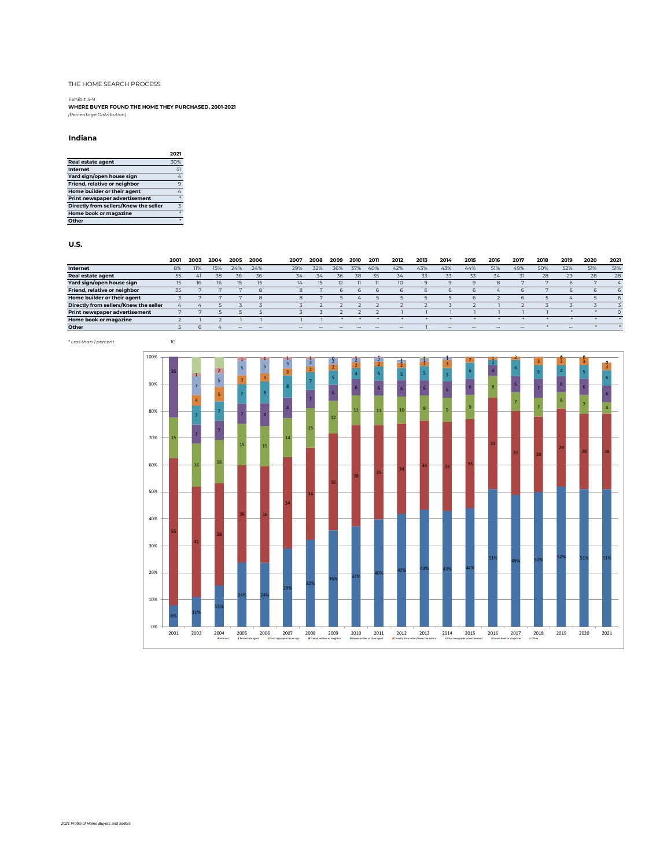Exhibit 3-9 **WHERE BUYER FOUND THE HOME THEY PURCHASED, 2001-2021** *(Percentage Distribution)*

#### **Indiana**

|                                       | 2021           |
|---------------------------------------|----------------|
| <b>Real estate agent</b>              | 30%            |
| Internet                              | 51             |
| Yard sign/open house sign             | 4              |
| Friend, relative or neighbor          | 9              |
| Home builder or their agent           |                |
| <b>Print newspaper advertisement</b>  |                |
| Directly from sellers/Knew the seller | $\overline{z}$ |
| Home book or magazine                 |                |
| Other                                 |                |

|                                       | 2001 | 2003 | 2004 | 2005 | 2006 | 2007          | 2008 | 2009  | 2010 | 2011 | 2012  | 2013 | 2014   | 2015 | 2016  | 2017   | 2018 | 2019       | 2020 | 2021                         |
|---------------------------------------|------|------|------|------|------|---------------|------|-------|------|------|-------|------|--------|------|-------|--------|------|------------|------|------------------------------|
| Internet                              | 8%   | 11%  | 15%  | 24%  | 24%  | 29%           | 32%  | 36%   | 37%  | 40%  | 42%   | 43%  | 43%    | 44%  | 51%   | 49%    | 50%  | 52%        | 51%  | 51%                          |
| <b>Real estate agent</b>              |      | 41   | 38   | 36   | 36   | 34            | 34   | 36    | 38   |      | 34    | 33   | 33     | 33   | 34    |        | 28   | 29         | 28   | 28                           |
| Yard sign/open house sign             |      | 16.  | 16   | 15   | 15   | $\frac{1}{4}$ |      |       |      |      |       |      |        |      |       |        |      |            |      | $\mathcal{L}_{\mathfrak{m}}$ |
| Friend, relative or neighbor          |      |      |      |      | 8    |               |      |       |      |      |       |      |        |      |       |        |      |            |      |                              |
| Home builder or their agent           |      |      |      |      | 8    | x             |      |       |      |      |       |      |        |      |       | h      |      | $\sqrt{2}$ |      |                              |
| Directly from sellers/Knew the seller |      |      |      |      |      |               |      |       |      |      |       |      |        |      |       |        |      |            |      |                              |
| <b>Print newspaper advertisement</b>  |      |      |      |      |      |               |      |       |      |      |       |      |        |      |       |        |      |            |      |                              |
| Home book or magazine                 |      |      |      |      |      |               |      |       |      |      |       |      |        |      |       |        |      |            |      |                              |
| Other                                 |      |      |      | $-$  | $-$  | $-$           | $-1$ | $- -$ | --   | $-$  | $- -$ |      | $\sim$ | $-$  | $- -$ | $\sim$ |      | $- -$      |      |                              |

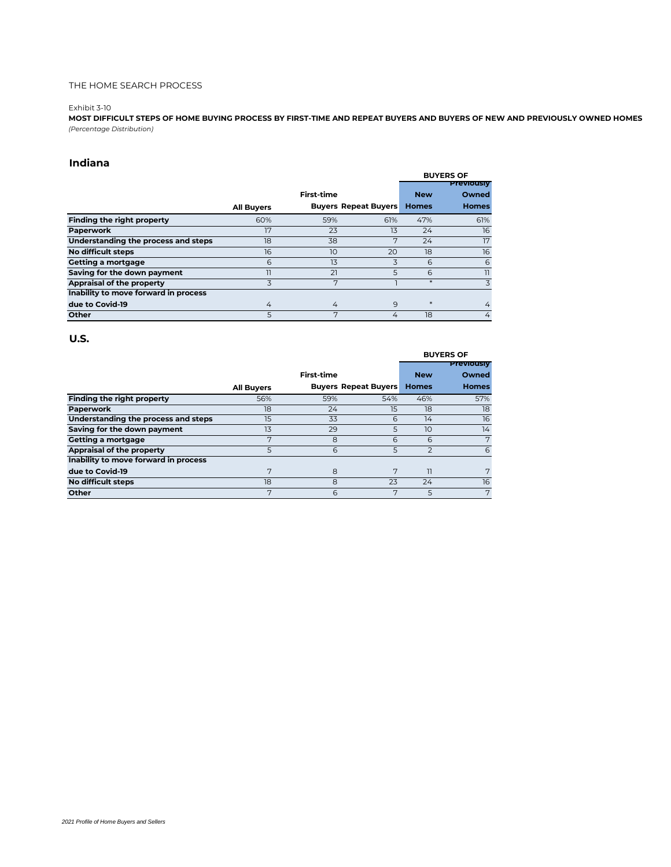#### Exhibit 3-10

**MOST DIFFICULT STEPS OF HOME BUYING PROCESS BY FIRST-TIME AND REPEAT BUYERS AND BUYERS OF NEW AND PREVIOUSLY OWNED HOMES** *(Percentage Distribution)*

### **Indiana**

|                                      |                   |                   |                             |              | <b>BUYERS OF</b>  |
|--------------------------------------|-------------------|-------------------|-----------------------------|--------------|-------------------|
|                                      |                   |                   |                             |              | <b>Previously</b> |
|                                      |                   | <b>First-time</b> |                             | <b>New</b>   | Owned             |
|                                      | <b>All Buyers</b> |                   | <b>Buyers Repeat Buyers</b> | <b>Homes</b> | <b>Homes</b>      |
| Finding the right property           | 60%               | 59%               | 61%                         | 47%          | 61%               |
| Paperwork                            | 17                | 23                | 13                          | 24           | 16                |
| Understanding the process and steps  | 18                | 38                | 7                           | 24           | 17                |
| No difficult steps                   | 16                | 10                | 20                          | 18           | 16                |
| <b>Getting a mortgage</b>            | 6                 | 13                | 3                           | 6            | 6                 |
| Saving for the down payment          | 11                | 21                | 5                           | 6            | 11                |
| Appraisal of the property            | 3                 | 7                 |                             | $*$          | 3                 |
| Inability to move forward in process |                   |                   |                             |              |                   |
| due to Covid-19                      | 4                 | 4                 | 9                           | $*$          | 4                 |
| Other                                | 5                 | 7                 | 4                           | 18           | 4                 |

#### **U.S.**

|                                      |                   |                   |                             |                | <b>BUYERS OF</b>  |
|--------------------------------------|-------------------|-------------------|-----------------------------|----------------|-------------------|
|                                      |                   |                   |                             |                | <b>Previously</b> |
|                                      |                   | <b>First-time</b> |                             | <b>New</b>     | Owned             |
|                                      | <b>All Buyers</b> |                   | <b>Buyers Repeat Buyers</b> | <b>Homes</b>   | <b>Homes</b>      |
| Finding the right property           | 56%               | 59%               | 54%                         | 46%            | 57%               |
| Paperwork                            | 18                | 24                | 15                          | 18             | 18                |
| Understanding the process and steps  | 15                | 33                | 6                           | 14             | 16                |
| Saving for the down payment          | 13                | 29                | 5                           | 10             | 14                |
| Getting a mortgage                   | 7                 | 8                 | 6                           | 6              | 7                 |
| Appraisal of the property            | 5                 | 6                 | 5                           | $\overline{2}$ | 6                 |
| Inability to move forward in process |                   |                   |                             |                |                   |
| due to Covid-19                      | 7                 | 8                 | 7                           | וו             | 7                 |
| <b>No difficult steps</b>            | 18                | 8                 | 23                          | 24             | 16                |
| Other                                | 7                 | 6                 | 7                           | 5              | 7                 |

#### *2021 Profile of Home Buyers and Sellers*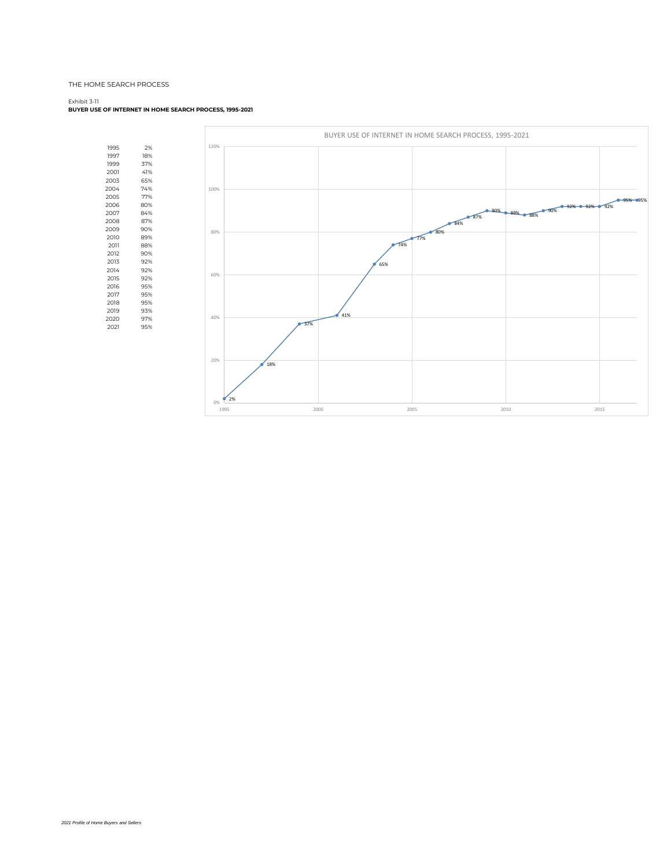#### Exhibit 3-11

#### **BUYER USE OF INTERNET IN HOME SEARCH PROCESS, 1995-2021**

1995 2% 1997 18%<br>1999 37%<br>2001 41%<br>2003 65% 1999 2001 41% 2003 65% 2004 74%<br>2005 77% 2005 77%  $2006$ 21:1<br>84%<br>87% 2007<br>2008 87%<br>2009 90% 2009 90%<br>2010 89% 2010<br>2011 2011 88% 2012 90%<br>
2013 92%<br>
2014 92%<br>
2015 92%<br>
2016 95% 92% 2014 92% 2015 92% 2016 95% 2017<br>2018 95%<br>2019 93% 2018 95% 2019 93% 2015<br>2020 97%<br>2021 95% 2021

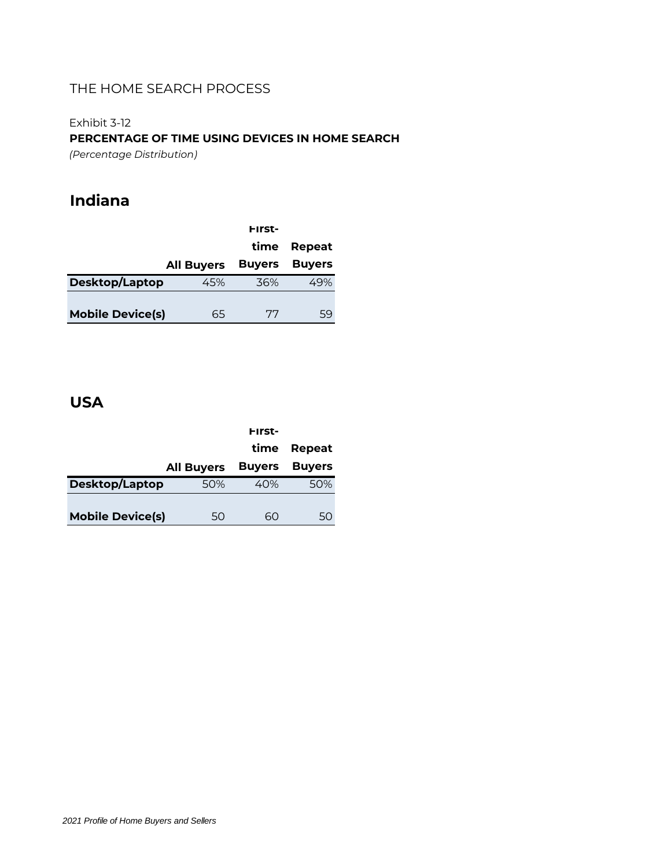Exhibit 3-12

**PERCENTAGE OF TIME USING DEVICES IN HOME SEARCH**

*(Percentage Distribution)*

# **Indiana**

|                         |                   | First-        |               |
|-------------------------|-------------------|---------------|---------------|
|                         |                   | time          | Repeat        |
|                         | <b>All Buyers</b> | <b>Buyers</b> | <b>Buyers</b> |
| Desktop/Laptop          | 45%               | 36%           |               |
|                         |                   |               |               |
| <b>Mobile Device(s)</b> | 65                | 77            | 59            |

# **USA**

|                         |                   | First-        |               |
|-------------------------|-------------------|---------------|---------------|
|                         |                   | time          | Repeat        |
|                         | <b>All Buyers</b> | <b>Buyers</b> | <b>Buyers</b> |
| Desktop/Laptop          | 50%               | 40%           | 50%           |
|                         |                   |               |               |
| <b>Mobile Device(s)</b> | 50                | 60            | 50            |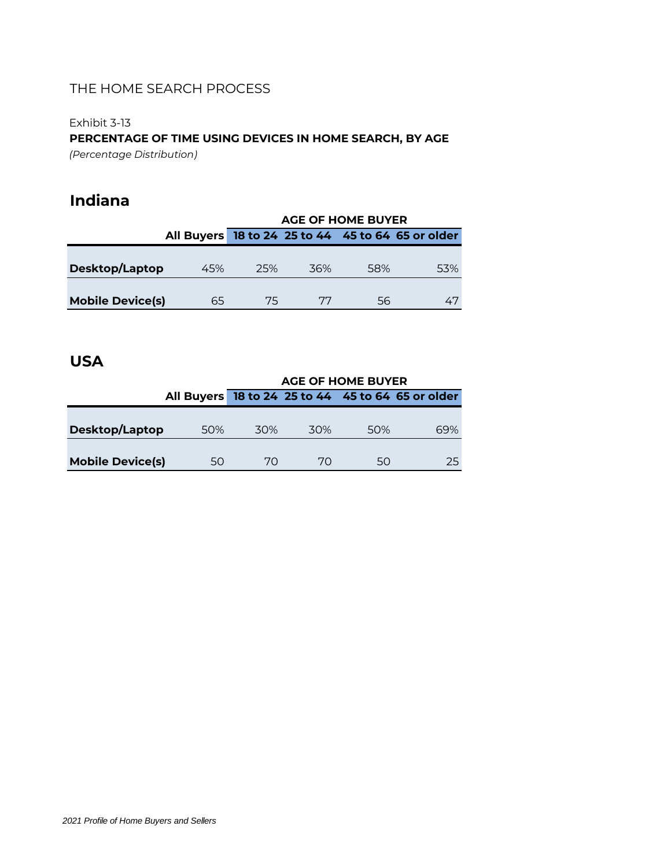### Exhibit 3-13

**PERCENTAGE OF TIME USING DEVICES IN HOME SEARCH, BY AGE**

*(Percentage Distribution)*

# **Indiana**

|                         |     | <b>AGE OF HOME BUYER</b> |     |     |                                                   |  |  |  |
|-------------------------|-----|--------------------------|-----|-----|---------------------------------------------------|--|--|--|
|                         |     |                          |     |     | All Buyers 18 to 24 25 to 44 45 to 64 65 or older |  |  |  |
|                         |     |                          |     |     |                                                   |  |  |  |
| Desktop/Laptop          | 45% | 25%                      | 36% | 58% | 53%                                               |  |  |  |
|                         |     |                          |     |     |                                                   |  |  |  |
| <b>Mobile Device(s)</b> | 65  | 75                       | 77  | 56  | 47                                                |  |  |  |

# **USA**

|                         | <b>AGE OF HOME BUYER</b> |      |     |     |                                                   |  |  |
|-------------------------|--------------------------|------|-----|-----|---------------------------------------------------|--|--|
|                         |                          |      |     |     | All Buyers 18 to 24 25 to 44 45 to 64 65 or older |  |  |
|                         |                          |      |     |     |                                                   |  |  |
| Desktop/Laptop          | 50%                      | .30% | 30% | 50% | 69%                                               |  |  |
|                         |                          |      |     |     |                                                   |  |  |
| <b>Mobile Device(s)</b> | 50                       | 70   | 70  | 50  | 25                                                |  |  |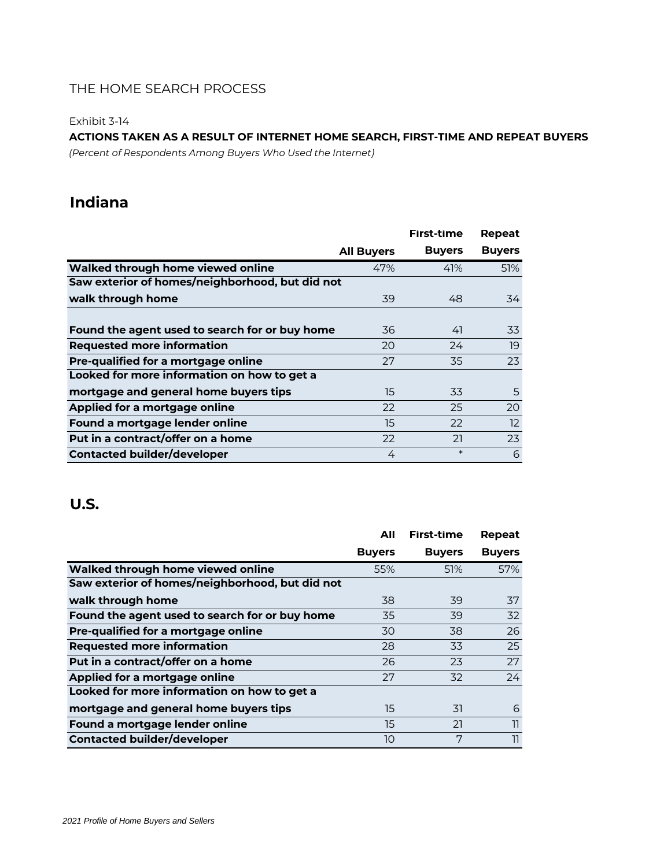Exhibit 3-14

### **ACTIONS TAKEN AS A RESULT OF INTERNET HOME SEARCH, FIRST-TIME AND REPEAT BUYERS**

*(Percent of Respondents Among Buyers Who Used the Internet)*

# **Indiana**

|                                                 |                   | First-time    | Repeat            |
|-------------------------------------------------|-------------------|---------------|-------------------|
|                                                 | <b>All Buyers</b> | <b>Buyers</b> | <b>Buyers</b>     |
| Walked through home viewed online               | 47%               | 41%           | 51%               |
| Saw exterior of homes/neighborhood, but did not |                   |               |                   |
| walk through home                               | 39                | 48            | 34                |
|                                                 |                   |               |                   |
| Found the agent used to search for or buy home  | 36                | 41            | 33                |
| <b>Requested more information</b>               | 20                | 24            | 19                |
| Pre-qualified for a mortgage online             | 27                | 35            | 23                |
| Looked for more information on how to get a     |                   |               |                   |
| mortgage and general home buyers tips           | 15                | 33            | 5                 |
| Applied for a mortgage online                   | 22                | 25            | 20                |
| Found a mortgage lender online                  | 15                | 22            | $12 \overline{ }$ |
| Put in a contract/offer on a home               | 22                | 21            | 23                |
| <b>Contacted builder/developer</b>              | 4                 | $\ast$        | 6                 |

|                                                 | All           | First-time    | Repeat        |
|-------------------------------------------------|---------------|---------------|---------------|
|                                                 | <b>Buyers</b> | <b>Buyers</b> | <b>Buyers</b> |
| Walked through home viewed online               | 55%           | 51%           | 57%           |
| Saw exterior of homes/neighborhood, but did not |               |               |               |
| walk through home                               | 38            | 39            | 37            |
| Found the agent used to search for or buy home  | 35            | 39            | 32            |
| Pre-qualified for a mortgage online             | 30            | 38            | 26            |
| <b>Requested more information</b>               | 28            | 33            | 25            |
| Put in a contract/offer on a home               | 26            | 23            | 27            |
| Applied for a mortgage online                   | 27            | 32            | 24            |
| Looked for more information on how to get a     |               |               |               |
| mortgage and general home buyers tips           | 15            | 31            | 6             |
| Found a mortgage lender online                  | 15            | 21            | 11            |
| <b>Contacted builder/developer</b>              | 10            | 7             | 11            |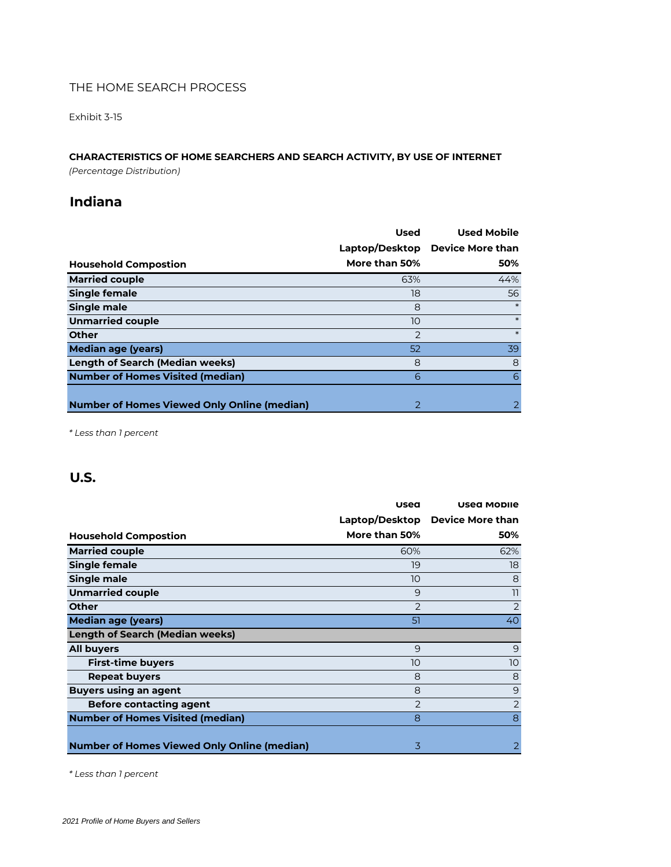Exhibit 3-15

### **CHARACTERISTICS OF HOME SEARCHERS AND SEARCH ACTIVITY, BY USE OF INTERNET**

*(Percentage Distribution)*

# **Indiana**

|                                                    | <b>Used</b>    | <b>Used Mobile</b>      |
|----------------------------------------------------|----------------|-------------------------|
|                                                    | Laptop/Desktop | <b>Device More than</b> |
| <b>Household Compostion</b>                        | More than 50%  | 50%                     |
| <b>Married couple</b>                              | 63%            | 44%                     |
| Single female                                      | 18             | 56                      |
| Single male                                        | 8              |                         |
| <b>Unmarried couple</b>                            | 10             | $\ast$                  |
| <b>Other</b>                                       | $\overline{2}$ | $\ast$                  |
| Median age (years)                                 | 52             | 39                      |
| <b>Length of Search (Median weeks)</b>             | 8              | 8                       |
| <b>Number of Homes Visited (median)</b>            | 6              | 6                       |
|                                                    |                |                         |
| <b>Number of Homes Viewed Only Online (median)</b> | $\mathcal{P}$  |                         |

*\* Less than 1 percent*

# **U.S.**

|                                                    | Used           | <b>Used Mobile</b>      |
|----------------------------------------------------|----------------|-------------------------|
|                                                    | Laptop/Desktop | <b>Device More than</b> |
| <b>Household Compostion</b>                        | More than 50%  | 50%                     |
| <b>Married couple</b>                              | 60%            | 62%                     |
| Single female                                      | 19             | 18                      |
| Single male                                        | 10             | 8                       |
| <b>Unmarried couple</b>                            | 9              | 11                      |
| <b>Other</b>                                       | 2              | 2                       |
| Median age (years)                                 | 51             | 40                      |
| <b>Length of Search (Median weeks)</b>             |                |                         |
| <b>All buyers</b>                                  | 9              | 9                       |
| <b>First-time buyers</b>                           | 10             | 10                      |
| <b>Repeat buyers</b>                               | 8              | 8                       |
| <b>Buyers using an agent</b>                       | 8              | 9                       |
| <b>Before contacting agent</b>                     | $\mathcal{P}$  | 2                       |
| <b>Number of Homes Visited (median)</b>            | 8              | 8                       |
|                                                    |                |                         |
| <b>Number of Homes Viewed Only Online (median)</b> | 3              | 2                       |

*\* Less than 1 percent*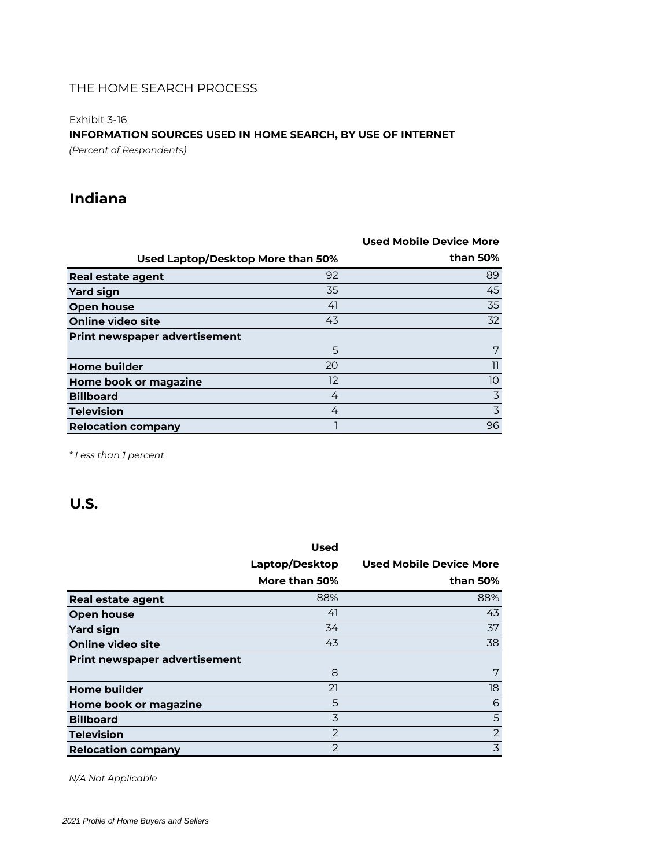Exhibit 3-16

### **INFORMATION SOURCES USED IN HOME SEARCH, BY USE OF INTERNET**

*(Percent of Respondents)*

# **Indiana**

|                                      |    | Used Mobile Device More |
|--------------------------------------|----|-------------------------|
| Used Laptop/Desktop More than 50%    |    | than 50%                |
| Real estate agent                    | 92 | 89                      |
| <b>Yard sign</b>                     | 35 | 45                      |
| <b>Open house</b>                    | 41 | 35                      |
| <b>Online video site</b>             | 43 | 32                      |
| <b>Print newspaper advertisement</b> |    |                         |
|                                      | 5  | 7                       |
| <b>Home builder</b>                  | 20 | 11                      |
| Home book or magazine                | 12 | 10                      |
| <b>Billboard</b>                     | 4  | $\overline{3}$          |
| <b>Television</b>                    | 4  | $\overline{3}$          |
| <b>Relocation company</b>            |    | 96                      |

*\* Less than 1 percent*

# **U.S.**

|                                      | <b>Used</b>    |                                |
|--------------------------------------|----------------|--------------------------------|
|                                      | Laptop/Desktop | <b>Used Mobile Device More</b> |
|                                      | More than 50%  | than 50%                       |
| <b>Real estate agent</b>             | 88%            | 88%                            |
| Open house                           | 41             | 43                             |
| <b>Yard sign</b>                     | 34             | 37                             |
| Online video site                    | 43             | 38                             |
| <b>Print newspaper advertisement</b> |                |                                |
|                                      | 8              | 7                              |
| <b>Home builder</b>                  | 21             | 18                             |
| Home book or magazine                | 5              | 6                              |
| <b>Billboard</b>                     | 3              | 5                              |
| <b>Television</b>                    | 2              | $\overline{2}$                 |
| <b>Relocation company</b>            | 2              | 3                              |

*N/A Not Applicable*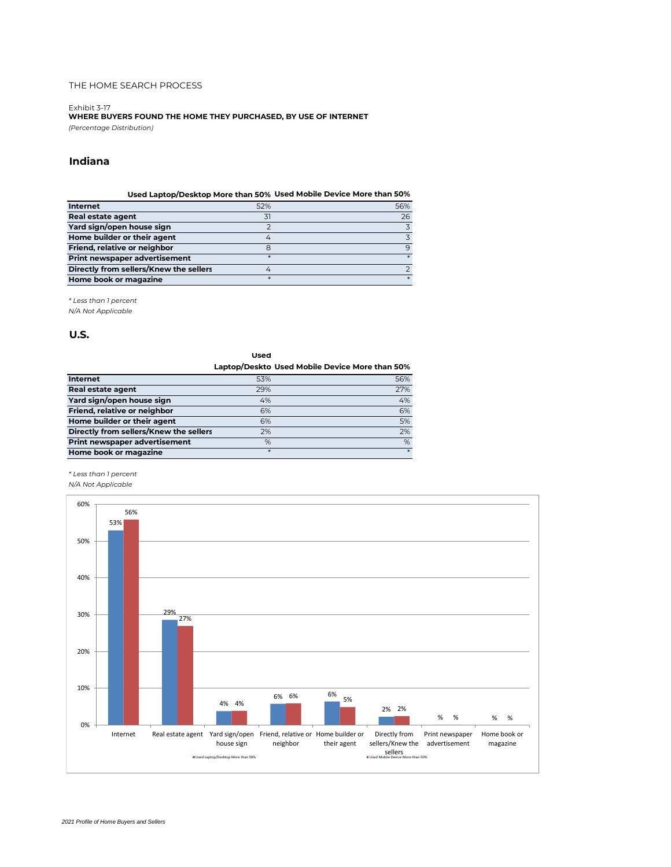Exhibit 3-17 **WHERE BUYERS FOUND THE HOME THEY PURCHASED, BY USE OF INTERNET** *(Percentage Distribution)*

### **Indiana**

|                                        |        | Used Laptop/Desktop More than 50% Used Mobile Device More than 50% |
|----------------------------------------|--------|--------------------------------------------------------------------|
| <b>Internet</b>                        | 52%    | 56%                                                                |
| Real estate agent                      | 31     | 26                                                                 |
| Yard sign/open house sign              |        | 3                                                                  |
| Home builder or their agent            |        |                                                                    |
| Friend, relative or neighbor           | 8      | 9                                                                  |
| Print newspaper advertisement          |        |                                                                    |
| Directly from sellers/Knew the sellers |        |                                                                    |
| Home book or magazine                  | $\ast$ |                                                                    |

*\* Less than 1 percent*

*N/A Not Applicable*

#### **U.S.**

**Used Laptop/Deskto Used Mobile Device More than 50% Internet** 53% 56% **Real estate agent** 29% 27% 27% **Yard sign/open house sign** 4% 4% **Friend, relative or neighbor** 6% 6% **Home builder or their agent and the set of the set of the set of the set of the set of the set of the set of t Directly from sellers/Knew the sellers** 2% 2% **Print newspaper advertisement**  $\%$ **Home book or magazine** \* \*

#### *\* Less than 1 percent*

*N/A Not Applicable*

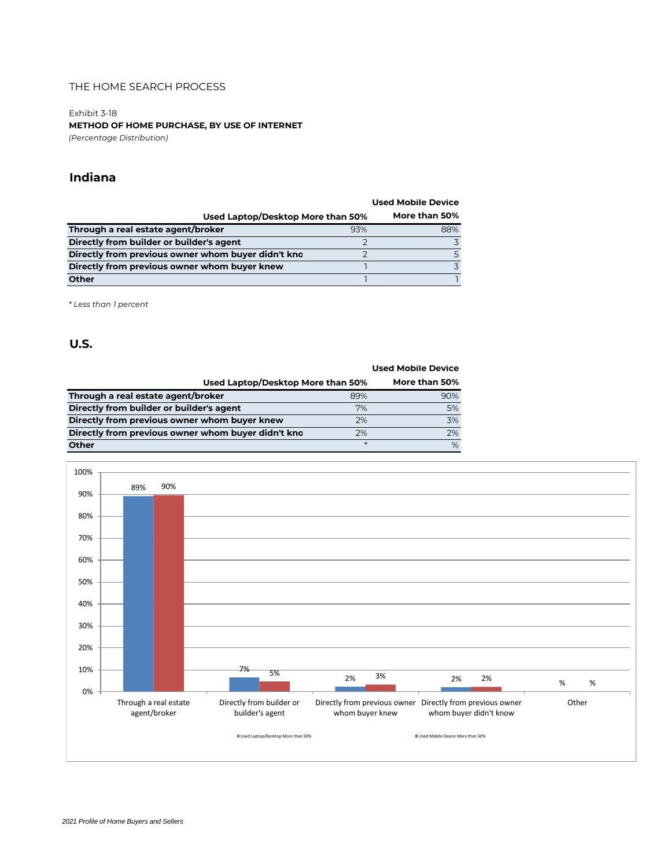Exhibit 3-18

**METHOD OF HOME PURCHASE, BY USE OF INTERNET** *(Percentage Distribution)*

### **Indiana**

|                                                    |     | <b>Used Mobile Device</b> |
|----------------------------------------------------|-----|---------------------------|
| Used Laptop/Desktop More than 50%                  |     | More than 50%             |
| Through a real estate agent/broker                 | 93% | 88%                       |
| Directly from builder or builder's agent           |     | 3                         |
| Directly from previous owner whom buyer didn't kno |     |                           |
| Directly from previous owner whom buyer knew       |     |                           |
| <b>Other</b>                                       |     |                           |
|                                                    |     |                           |

*\* Less than 1 percent*

|                                                    |        | <b>Used Mobile Device</b> |
|----------------------------------------------------|--------|---------------------------|
| Used Laptop/Desktop More than 50%                  |        | More than 50%             |
| Through a real estate agent/broker                 | 89%    | 90%                       |
| Directly from builder or builder's agent           | 7%     | 5%                        |
| Directly from previous owner whom buyer knew       | 2%     | 3%                        |
| Directly from previous owner whom buyer didn't kno | 2%     | 2%                        |
| Other                                              | $\ast$ | %                         |

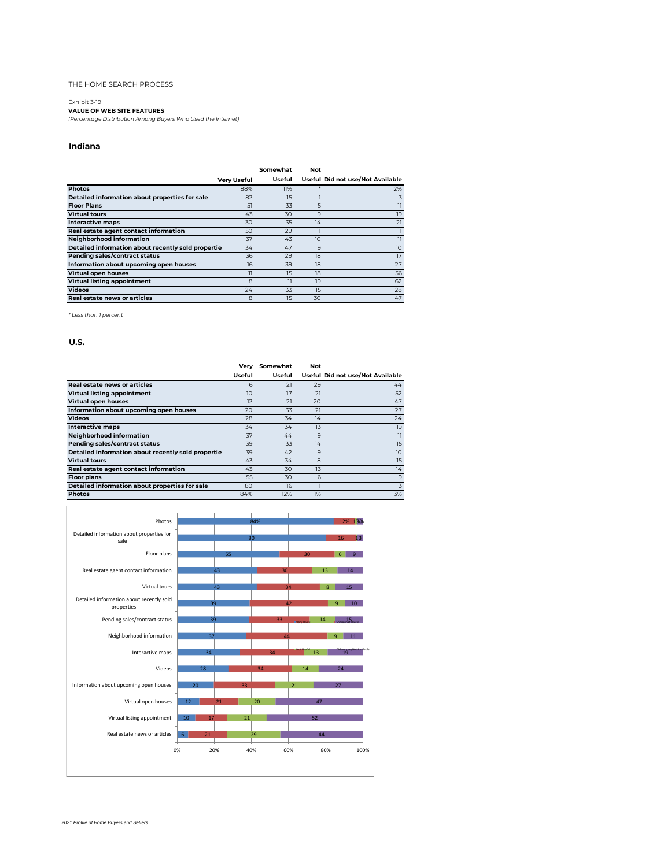#### Exhibit 3-19

**VALUE OF WEB SITE FEATURES**

*(Percentage Distribution Among Buyers Who Used the Internet)*

#### **Indiana**

|                                                    |                    | Somewhat       | Not            |                                  |
|----------------------------------------------------|--------------------|----------------|----------------|----------------------------------|
|                                                    | <b>Very Useful</b> | Useful         |                | Useful Did not use/Not Available |
| <b>Photos</b>                                      | 88%                | 11%            |                | 2%                               |
| Detailed information about properties for sale     | 82                 | 15             |                | 3                                |
| <b>Floor Plans</b>                                 | 51                 | 33             | 5              | $\overline{11}$                  |
| <b>Virtual tours</b>                               | 43                 | 30             | 9              | 19                               |
| <b>Interactive maps</b>                            | 30                 | 35             | 14             | 21                               |
| Real estate agent contact information              | 50                 | 29             | $\overline{1}$ | $\mathbb{I}$                     |
| Neighborhood information                           | 37                 | 43             | 10             | $\overline{11}$                  |
| Detailed information about recently sold propertie | 34                 | 47             | 9              | 10                               |
| Pending sales/contract status                      | 36                 | 29             | 18             | 17                               |
| Information about upcoming open houses             | 16                 | 39             | 18             | 27                               |
| Virtual open houses                                | 11                 | 15             | 18             | 56                               |
| <b>Virtual listing appointment</b>                 | 8                  | $\overline{1}$ | 19             | 62                               |
| <b>Videos</b>                                      | 24                 | 33             | 15             | 28                               |
| Real estate news or articles                       | 8                  | 15             | 30             | 47                               |

*\* Less than 1 percent*

|                                                    | Very   | Somewhat | Not |                                  |
|----------------------------------------------------|--------|----------|-----|----------------------------------|
|                                                    | Useful | Useful   |     | Useful Did not use/Not Available |
| <b>Real estate news or articles</b>                | 6      | 21       | 29  | 44                               |
| <b>Virtual listing appointment</b>                 | 10     | 17       | 21  | 52                               |
| <b>Virtual open houses</b>                         | 12     | 21       | 20  | 47                               |
| Information about upcoming open houses             | 20     | 33       | 21  | 27                               |
| <b>Videos</b>                                      | 28     | 34       | 14  | 24                               |
| <b>Interactive maps</b>                            | 34     | 34       | 13  | 19                               |
| Neighborhood information                           | 37     | 44       | 9   | $\overline{1}$                   |
| Pending sales/contract status                      | 39     | 33       | 14  | 15                               |
| Detailed information about recently sold propertie | 39     | 42       | 9   | 10                               |
| <b>Virtual tours</b>                               | 43     | 34       | 8   | 15                               |
| Real estate agent contact information              | 43     | 30       | 13  | 14                               |
| <b>Floor plans</b>                                 | 55     | 30       | 6   | 9                                |
| Detailed information about properties for sale     | 80     | 16       |     | 3                                |
| <b>Photos</b>                                      | 84%    | 12%      | 1%  | 3%                               |